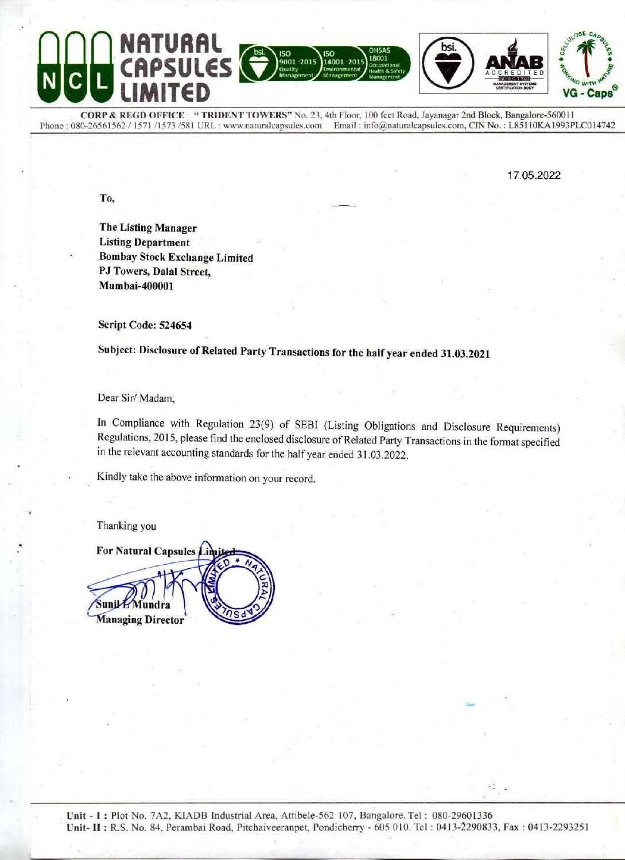## **PSULES** 9001:2015 14001:2015 **VG - Caps**

CORP & REGD OFFICE: "TRIDENT TOWERS" No. 23, 4th Floor, 100 feet Road, Jayanagar 2nd Block, Bangalore-560011 Email: info@naturalcapsules.com, CIN No.: L85110KA1993PLC014742 Phone: 080-26561562 / 1571 /1573 /581 URL: www.naturalcapsules.com

17.05.2022

To.

**The Listing Manager Listing Department Bombay Stock Exchange Limited** PJ Towers, Dalal Street, Mumbai-400001

Script Code: 524654

Subject: Disclosure of Related Party Transactions for the half year ended 31.03.2021

Dear Sir/Madam,

In Compliance with Regulation 23(9) of SEBI (Listing Obligations and Disclosure Requirements) Regulations, 2015, please find the enclosed disclosure of Related Party Transactions in the format specified in the relevant accounting standards for the half year ended 31.03.2022.

Kindly take the above information on your record.

Thanking you

For Natural Capsules Lin  $S$ unik $E$ **Managing Director**